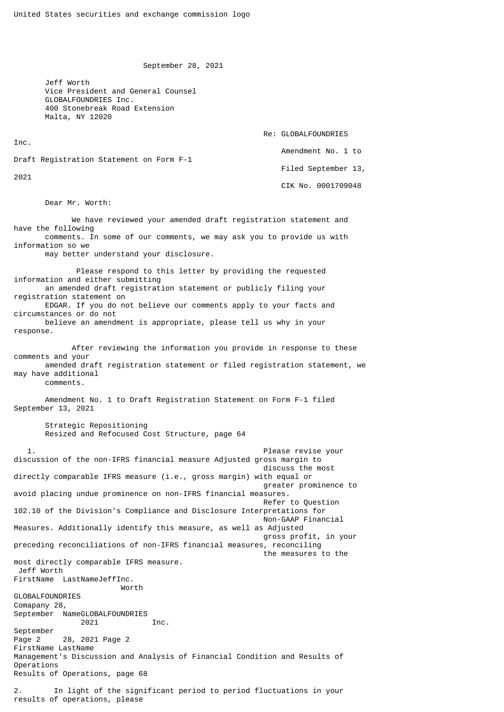September 28, 2021

 Jeff Worth Vice President and General Counsel GLOBALFOUNDRIES Inc. 400 Stonebreak Road Extension Malta, NY 12020

Re: GLOBALFOUNDRIES

Amendment No. 1 to

Draft Registration Statement on Form F-1

2021

Inc.

 Filed September 13, CIK No. 0001709048

Dear Mr. Worth:

 We have reviewed your amended draft registration statement and have the following comments. In some of our comments, we may ask you to provide us with information so we may better understand your disclosure. Please respond to this letter by providing the requested information and either submitting an amended draft registration statement or publicly filing your registration statement on EDGAR. If you do not believe our comments apply to your facts and circumstances or do not believe an amendment is appropriate, please tell us why in your response. After reviewing the information you provide in response to these comments and your amended draft registration statement or filed registration statement, we may have additional comments. Amendment No. 1 to Draft Registration Statement on Form F-1 filed September 13, 2021 Strategic Repositioning Resized and Refocused Cost Structure, page 64 Please revise your discussion of the non-IFRS financial measure Adjusted gross margin to discuss the most directly comparable IFRS measure (i.e., gross margin) with equal or greater prominence to avoid placing undue prominence on non-IFRS financial measures. Refer to Question 102.10 of the Division's Compliance and Disclosure Interpretations for Non-GAAP Financial Measures. Additionally identify this measure, as well as Adjusted gross profit, in your preceding reconciliations of non-IFRS financial measures, reconciling the measures to the most directly comparable IFRS measure. Jeff Worth FirstName LastNameJeffInc. Worth GLOBALFOUNDRIES Comapany 28, September NameGLOBALFOUNDRIES 2021 Inc. September Page 2 28, 2021 Page 2 FirstName LastName Management's Discussion and Analysis of Financial Condition and Results of Operations Results of Operations, page 68 2. In light of the significant period to period fluctuations in your results of operations, please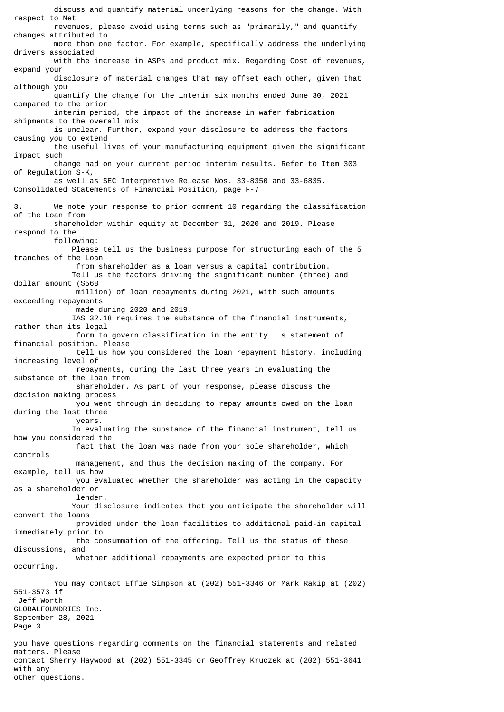discuss and quantify material underlying reasons for the change. With respect to Net revenues, please avoid using terms such as "primarily," and quantify changes attributed to more than one factor. For example, specifically address the underlying drivers associated with the increase in ASPs and product mix. Regarding Cost of revenues, expand your disclosure of material changes that may offset each other, given that although you quantify the change for the interim six months ended June 30, 2021 compared to the prior interim period, the impact of the increase in wafer fabrication shipments to the overall mix is unclear. Further, expand your disclosure to address the factors causing you to extend the useful lives of your manufacturing equipment given the significant impact such change had on your current period interim results. Refer to Item 303 of Regulation S-K, as well as SEC Interpretive Release Nos. 33-8350 and 33-6835. Consolidated Statements of Financial Position, page F-7 3. We note your response to prior comment 10 regarding the classification of the Loan from shareholder within equity at December 31, 2020 and 2019. Please respond to the following: Please tell us the business purpose for structuring each of the 5 tranches of the Loan from shareholder as a loan versus a capital contribution. Tell us the factors driving the significant number (three) and dollar amount (\$568 million) of loan repayments during 2021, with such amounts exceeding repayments made during 2020 and 2019. IAS 32.18 requires the substance of the financial instruments, rather than its legal form to govern classification in the entity s statement of financial position. Please tell us how you considered the loan repayment history, including increasing level of repayments, during the last three years in evaluating the substance of the loan from shareholder. As part of your response, please discuss the decision making process you went through in deciding to repay amounts owed on the loan during the last three years. In evaluating the substance of the financial instrument, tell us how you considered the fact that the loan was made from your sole shareholder, which controls management, and thus the decision making of the company. For example, tell us how you evaluated whether the shareholder was acting in the capacity as a shareholder or lender. Your disclosure indicates that you anticipate the shareholder will convert the loans provided under the loan facilities to additional paid-in capital immediately prior to the consummation of the offering. Tell us the status of these discussions, and whether additional repayments are expected prior to this occurring. You may contact Effie Simpson at (202) 551-3346 or Mark Rakip at (202) 551-3573 if Jeff Worth GLOBALFOUNDRIES Inc. September 28, 2021 Page 3 you have questions regarding comments on the financial statements and related matters. Please contact Sherry Haywood at (202) 551-3345 or Geoffrey Kruczek at (202) 551-3641 with any other questions.